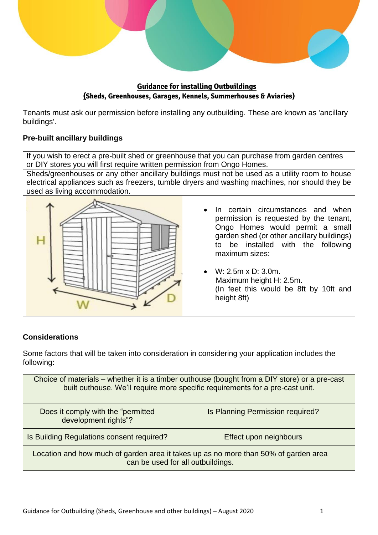

**Guidance for installing Outbuildings (Sheds, Greenhouses, Garages, Kennels, Summerhouses & Aviaries)**

Tenants must ask our permission before installing any outbuilding. These are known as 'ancillary buildings'.

# **Pre-built ancillary buildings**

If you wish to erect a pre-built shed or greenhouse that you can purchase from garden centres or DIY stores you will first require written permission from Ongo Homes.

Sheds/greenhouses or any other ancillary buildings must not be used as a utility room to house electrical appliances such as freezers, tumble dryers and washing machines, nor should they be used as living accommodation.



- In certain circumstances and when permission is requested by the tenant, Ongo Homes would permit a small garden shed (or other ancillary buildings) to be installed with the following maximum sizes:
- W: 2.5m x D: 3.0m. Maximum height H: 2.5m. (In feet this would be 8ft by 10ft and height 8ft)

## **Considerations**

Some factors that will be taken into consideration in considering your application includes the following:

| Choice of materials – whether it is a timber outhouse (bought from a DIY store) or a pre-cast<br>built outhouse. We'll require more specific requirements for a pre-cast unit. |                                  |  |
|--------------------------------------------------------------------------------------------------------------------------------------------------------------------------------|----------------------------------|--|
| Does it comply with the "permitted"<br>development rights"?                                                                                                                    | Is Planning Permission required? |  |
| Is Building Regulations consent required?                                                                                                                                      | Effect upon neighbours           |  |
| Location and how much of garden area it takes up as no more than 50% of garden area<br>can be used for all outbuildings.                                                       |                                  |  |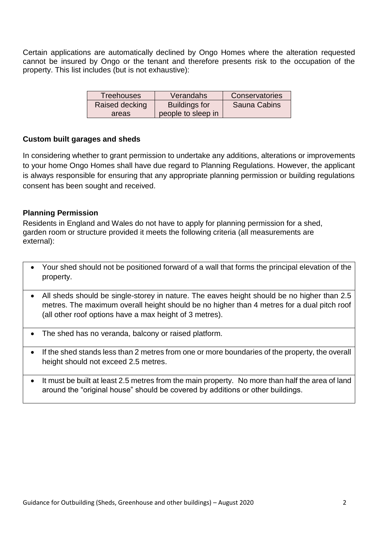Certain applications are automatically declined by Ongo Homes where the alteration requested cannot be insured by Ongo or the tenant and therefore presents risk to the occupation of the property. This list includes (but is not exhaustive):

| <b>Treehouses</b> | Verandahs            | Conservatories      |
|-------------------|----------------------|---------------------|
| Raised decking    | <b>Buildings for</b> | <b>Sauna Cabins</b> |
| areas             | people to sleep in   |                     |

### **Custom built garages and sheds**

In considering whether to grant permission to undertake any additions, alterations or improvements to your home Ongo Homes shall have due regard to Planning Regulations. However, the applicant is always responsible for ensuring that any appropriate planning permission or building regulations consent has been sought and received.

### **Planning Permission**

Residents in England and Wales do not have to apply for planning permission for a shed, garden room or structure provided it meets the following criteria (all measurements are external):

- Your shed should not be positioned forward of a wall that forms the principal elevation of the property.
- All sheds should be single-storey in nature. The eaves height should be no higher than 2.5 metres. The maximum overall height should be no higher than 4 metres for a dual pitch roof (all other roof options have a max height of 3 metres).
- The shed has no veranda, balcony or raised platform.
- If the shed stands less than 2 metres from one or more boundaries of the property, the overall height should not exceed 2.5 metres.
- It must be built at least 2.5 metres from the main property. No more than half the area of land around the "original house" should be covered by additions or other buildings.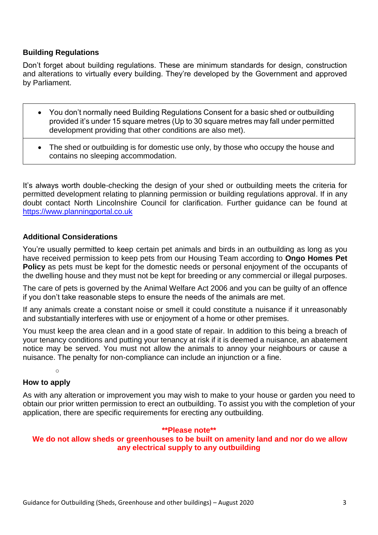#### **Building Regulations**

Don't forget about building regulations. These are minimum standards for design, construction and alterations to virtually every building. They're developed by the Government and approved by Parliament.

- You don't normally need Building Regulations Consent for a basic shed or outbuilding provided it's under 15 square metres (Up to 30 square metres may fall under permitted development providing that other conditions are also met).
- The shed or outbuilding is for domestic use only, by those who occupy the house and contains no sleeping accommodation.

It's always worth double-checking the design of your shed or outbuilding meets the criteria for permitted development relating to planning permission or building regulations approval. If in any doubt contact North Lincolnshire Council for clarification. Further guidance can be found at [https://www.planningportal.co.uk](https://www.planningportal.co.uk/)

#### **Additional Considerations**

You're usually permitted to keep certain pet animals and birds in an outbuilding as long as you have received permission to keep pets from our Housing Team according to **Ongo Homes Pet Policy** as pets must be kept for the domestic needs or personal enjoyment of the occupants of the dwelling house and they must not be kept for breeding or any commercial or illegal purposes.

The care of pets is governed by the Animal Welfare Act 2006 and you can be guilty of an offence if you don't take reasonable steps to ensure the needs of the animals are met.

If any animals create a constant noise or smell it could constitute a nuisance if it unreasonably and substantially interferes with use or enjoyment of a home or other premises.

You must keep the area clean and in a good state of repair. In addition to this being a breach of your tenancy conditions and putting your tenancy at risk if it is deemed a nuisance, an abatement notice may be served. You must not allow the animals to annoy your neighbours or cause a nuisance. The penalty for non-compliance can include an injunction or a fine.

o

# **How to apply**

As with any alteration or improvement you may wish to make to your house or garden you need to obtain our prior written permission to erect an outbuilding. To assist you with the completion of your application, there are specific requirements for erecting any outbuilding.

#### **\*\*Please note\*\***

#### **We do not allow sheds or greenhouses to be built on amenity land and nor do we allow any electrical supply to any outbuilding**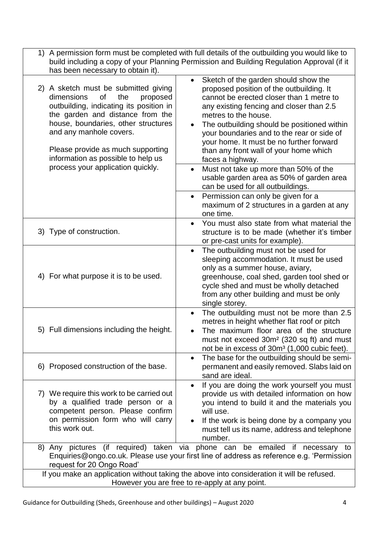| has been necessary to obtain it).                                                                                                                                                                                                                                                                       | 1) A permission form must be completed with full details of the outbuilding you would like to<br>build including a copy of your Planning Permission and Building Regulation Approval (if it                                                                                                                                                                                                                          |  |
|---------------------------------------------------------------------------------------------------------------------------------------------------------------------------------------------------------------------------------------------------------------------------------------------------------|----------------------------------------------------------------------------------------------------------------------------------------------------------------------------------------------------------------------------------------------------------------------------------------------------------------------------------------------------------------------------------------------------------------------|--|
| 2) A sketch must be submitted giving<br>dimensions<br>the<br>οf<br>proposed<br>outbuilding, indicating its position in<br>the garden and distance from the<br>house, boundaries, other structures<br>and any manhole covers.<br>Please provide as much supporting<br>information as possible to help us | Sketch of the garden should show the<br>$\bullet$<br>proposed position of the outbuilding. It<br>cannot be erected closer than 1 metre to<br>any existing fencing and closer than 2.5<br>metres to the house.<br>The outbuilding should be positioned within<br>your boundaries and to the rear or side of<br>your home. It must be no further forward<br>than any front wall of your home which<br>faces a highway. |  |
| process your application quickly.                                                                                                                                                                                                                                                                       | Must not take up more than 50% of the<br>usable garden area as 50% of garden area<br>can be used for all outbuildings.                                                                                                                                                                                                                                                                                               |  |
|                                                                                                                                                                                                                                                                                                         | Permission can only be given for a<br>maximum of 2 structures in a garden at any<br>one time.                                                                                                                                                                                                                                                                                                                        |  |
| 3) Type of construction.                                                                                                                                                                                                                                                                                | You must also state from what material the<br>structure is to be made (whether it's timber<br>or pre-cast units for example).                                                                                                                                                                                                                                                                                        |  |
| 4) For what purpose it is to be used.                                                                                                                                                                                                                                                                   | The outbuilding must not be used for<br>$\bullet$<br>sleeping accommodation. It must be used<br>only as a summer house, aviary,<br>greenhouse, coal shed, garden tool shed or<br>cycle shed and must be wholly detached<br>from any other building and must be only<br>single storey.                                                                                                                                |  |
| 5) Full dimensions including the height.                                                                                                                                                                                                                                                                | The outbuilding must not be more than 2.5<br>$\bullet$<br>metres in height whether flat roof or pitch<br>The maximum floor area of the structure<br>must not exceed 30m <sup>2</sup> (320 sq ft) and must<br>not be in excess of 30m <sup>3</sup> (1,000 cubic feet).                                                                                                                                                |  |
| 6) Proposed construction of the base.                                                                                                                                                                                                                                                                   | The base for the outbuilding should be semi-<br>$\bullet$<br>permanent and easily removed. Slabs laid on<br>sand are ideal.                                                                                                                                                                                                                                                                                          |  |
| 7) We require this work to be carried out<br>by a qualified trade person or a<br>competent person. Please confirm<br>on permission form who will carry<br>this work out.                                                                                                                                | If you are doing the work yourself you must<br>$\bullet$<br>provide us with detailed information on how<br>you intend to build it and the materials you<br>will use.<br>If the work is being done by a company you<br>must tell us its name, address and telephone<br>number.                                                                                                                                        |  |
| 8) Any pictures (if required) taken via phone can be emailed if necessary to<br>Enquiries@ongo.co.uk. Please use your first line of address as reference e.g. 'Permission<br>request for 20 Ongo Road'                                                                                                  |                                                                                                                                                                                                                                                                                                                                                                                                                      |  |
| If you make an application without taking the above into consideration it will be refused.<br>However you are free to re-apply at any point.                                                                                                                                                            |                                                                                                                                                                                                                                                                                                                                                                                                                      |  |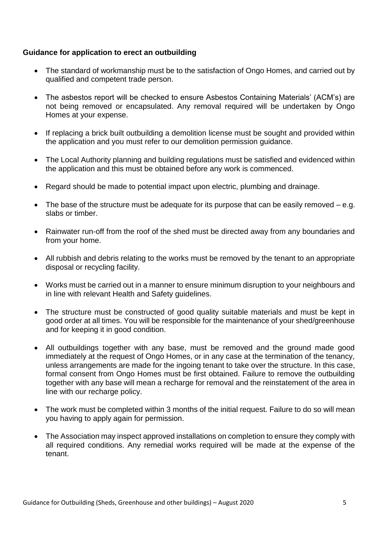### **Guidance for application to erect an outbuilding**

- The standard of workmanship must be to the satisfaction of Ongo Homes, and carried out by qualified and competent trade person.
- The asbestos report will be checked to ensure Asbestos Containing Materials' (ACM's) are not being removed or encapsulated. Any removal required will be undertaken by Ongo Homes at your expense.
- If replacing a brick built outbuilding a demolition license must be sought and provided within the application and you must refer to our demolition permission guidance.
- The Local Authority planning and building regulations must be satisfied and evidenced within the application and this must be obtained before any work is commenced.
- Regard should be made to potential impact upon electric, plumbing and drainage.
- $\bullet$  The base of the structure must be adequate for its purpose that can be easily removed e.g. slabs or timber.
- Rainwater run-off from the roof of the shed must be directed away from any boundaries and from your home.
- All rubbish and debris relating to the works must be removed by the tenant to an appropriate disposal or recycling facility.
- Works must be carried out in a manner to ensure minimum disruption to your neighbours and in line with relevant Health and Safety guidelines.
- The structure must be constructed of good quality suitable materials and must be kept in good order at all times. You will be responsible for the maintenance of your shed/greenhouse and for keeping it in good condition.
- All outbuildings together with any base, must be removed and the ground made good immediately at the request of Ongo Homes, or in any case at the termination of the tenancy, unless arrangements are made for the ingoing tenant to take over the structure. In this case, formal consent from Ongo Homes must be first obtained. Failure to remove the outbuilding together with any base will mean a recharge for removal and the reinstatement of the area in line with our recharge policy.
- The work must be completed within 3 months of the initial request. Failure to do so will mean you having to apply again for permission.
- The Association may inspect approved installations on completion to ensure they comply with all required conditions. Any remedial works required will be made at the expense of the tenant.